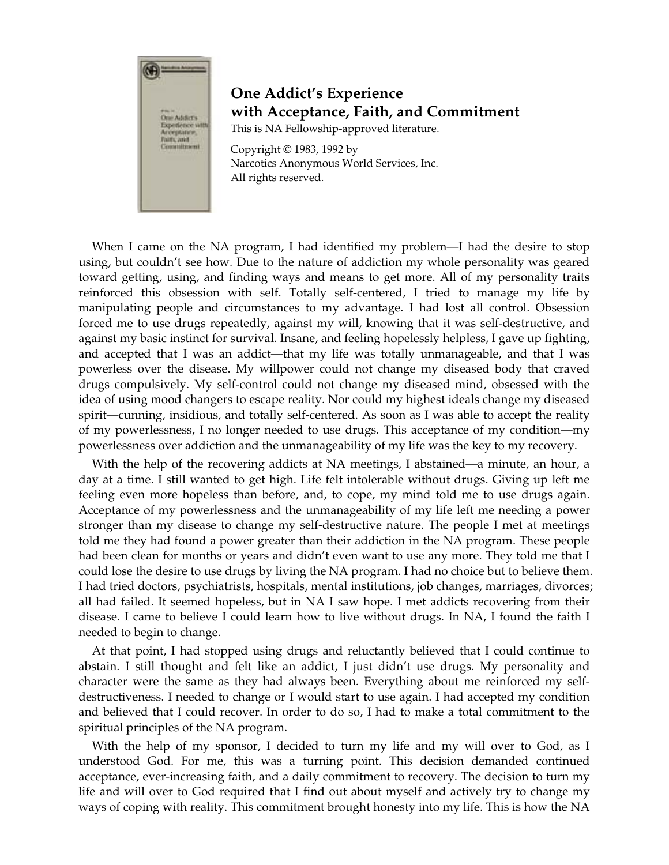

## **One Addict's Experience with Acceptance, Faith, and Commitment**

This is NA Fellowship-approved literature.

Copyright © 1983, 1992 by Narcotics Anonymous World Services, Inc. All rights reserved.

When I came on the NA program, I had identified my problem—I had the desire to stop using, but couldn't see how. Due to the nature of addiction my whole personality was geared toward getting, using, and finding ways and means to get more. All of my personality traits reinforced this obsession with self. Totally self-centered, I tried to manage my life by manipulating people and circumstances to my advantage. I had lost all control. Obsession forced me to use drugs repeatedly, against my will, knowing that it was self-destructive, and against my basic instinct for survival. Insane, and feeling hopelessly helpless, I gave up fighting, and accepted that I was an addict—that my life was totally unmanageable, and that I was powerless over the disease. My willpower could not change my diseased body that craved drugs compulsively. My self-control could not change my diseased mind, obsessed with the idea of using mood changers to escape reality. Nor could my highest ideals change my diseased spirit—cunning, insidious, and totally self-centered. As soon as I was able to accept the reality of my powerlessness, I no longer needed to use drugs. This acceptance of my condition—my powerlessness over addiction and the unmanageability of my life was the key to my recovery.

With the help of the recovering addicts at NA meetings, I abstained—a minute, an hour, a day at a time. I still wanted to get high. Life felt intolerable without drugs. Giving up left me feeling even more hopeless than before, and, to cope, my mind told me to use drugs again. Acceptance of my powerlessness and the unmanageability of my life left me needing a power stronger than my disease to change my self-destructive nature. The people I met at meetings told me they had found a power greater than their addiction in the NA program. These people had been clean for months or years and didn't even want to use any more. They told me that I could lose the desire to use drugs by living the NA program. I had no choice but to believe them. I had tried doctors, psychiatrists, hospitals, mental institutions, job changes, marriages, divorces; all had failed. It seemed hopeless, but in NA I saw hope. I met addicts recovering from their disease. I came to believe I could learn how to live without drugs. In NA, I found the faith I needed to begin to change.

At that point, I had stopped using drugs and reluctantly believed that I could continue to abstain. I still thought and felt like an addict, I just didn't use drugs. My personality and character were the same as they had always been. Everything about me reinforced my selfdestructiveness. I needed to change or I would start to use again. I had accepted my condition and believed that I could recover. In order to do so, I had to make a total commitment to the spiritual principles of the NA program.

With the help of my sponsor, I decided to turn my life and my will over to God, as I understood God. For me, this was a turning point. This decision demanded continued acceptance, ever-increasing faith, and a daily commitment to recovery. The decision to turn my life and will over to God required that I find out about myself and actively try to change my ways of coping with reality. This commitment brought honesty into my life. This is how the NA